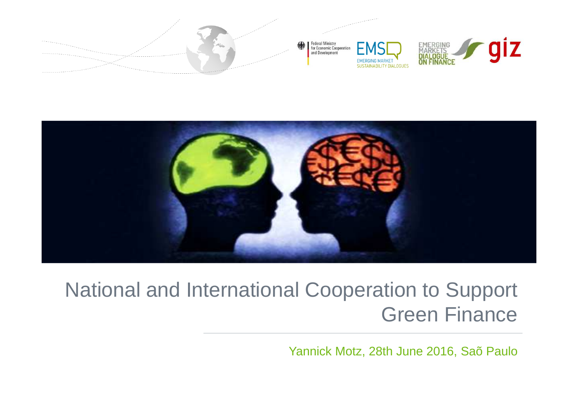



## National and International Cooperation to Support Green Finance

Yannick Motz, 28th June 2016, Saõ Paulo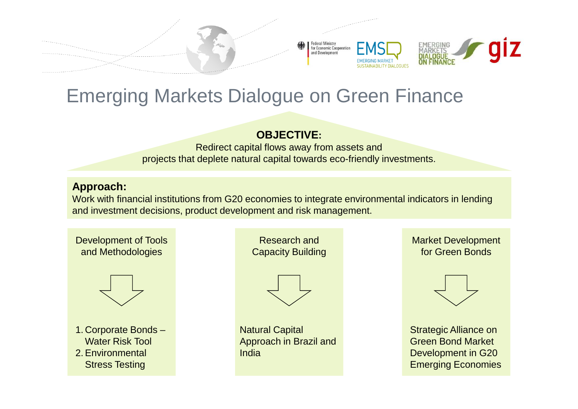

## Emerging Markets Dialogue on Green Finance

#### **OBJECTIVE:**

 Redirect capital flows away from assets and projects that deplete natural capital towards eco-friendly investments.

#### **Approach:**

 Work with financial institutions from G20 economies to integrate environmental indicators in lending and investment decisions, product development and risk management.

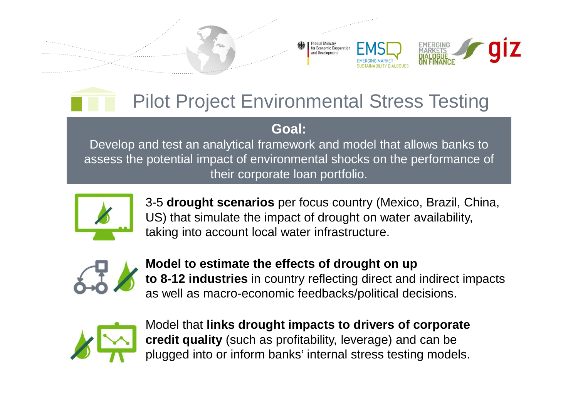



#### **Goal:**

 Develop and test an analytical framework and model that allows banks to assess the potential impact of environmental shocks on the performance of their corporate loan portfolio.



3-5 **drought scenarios** per focus country (Mexico, Brazil, China, US) that simulate the impact of drought on water availability, taking into account local water infrastructure.



**Model to estimate the effects of drought on up to 8-12 industries** in country reflecting direct and indirect impacts as well as macro-economic feedbacks/political decisions.



Model that **links drought impacts to drivers of corporate credit quality** (such as profitability, leverage) and can be plugged into or inform banks' internal stress testing models.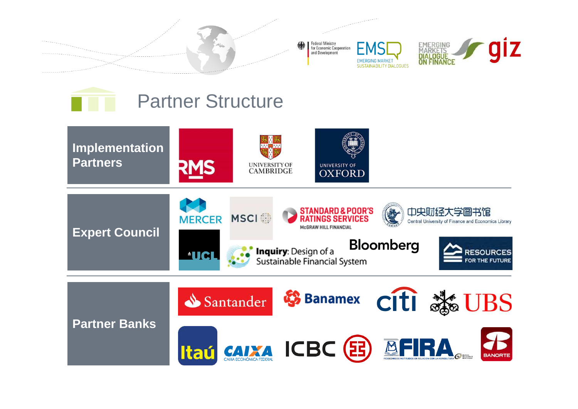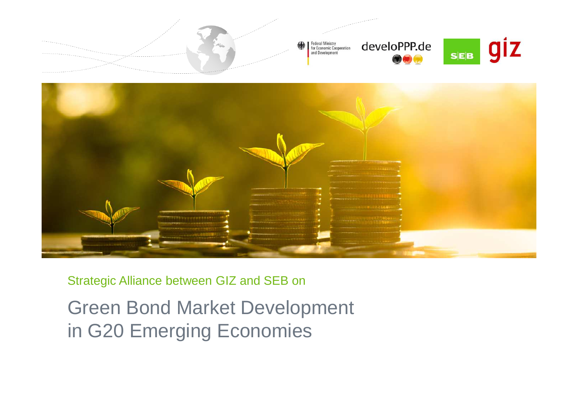



#### Strategic Alliance between GIZ and SEB on

Green Bond Market Development in G20 Emerging Economies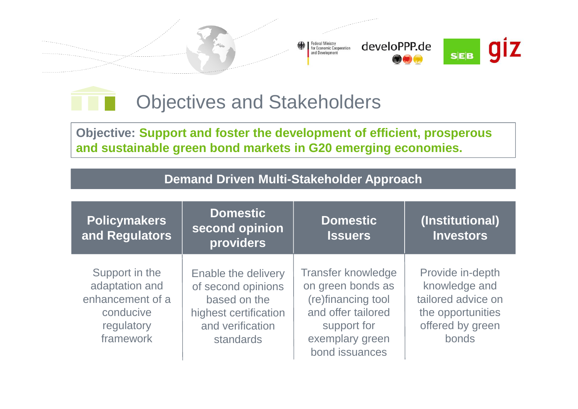



**Objective: Support and foster the development of efficient, prosperous and sustainable green bond markets in G20 emerging economies.**

| <b>Policymakers</b><br>and Regulators                                                        | <b>Domestic</b><br>second opinion<br>providers                                                                      | <b>Domestic</b><br><b>Issuers</b>                                                                                                              | (Institutional)<br><b>Investors</b>                                                                       |  |
|----------------------------------------------------------------------------------------------|---------------------------------------------------------------------------------------------------------------------|------------------------------------------------------------------------------------------------------------------------------------------------|-----------------------------------------------------------------------------------------------------------|--|
| Support in the<br>adaptation and<br>enhancement of a<br>conducive<br>regulatory<br>framework | Enable the delivery<br>of second opinions<br>based on the<br>highest certification<br>and verification<br>standards | <b>Transfer knowledge</b><br>on green bonds as<br>(re)financing tool<br>and offer tailored<br>support for<br>exemplary green<br>bond issuances | Provide in-depth<br>knowledge and<br>tailored advice on<br>the opportunities<br>offered by green<br>bonds |  |

#### **Demand Driven Multi-Stakeholder Approach**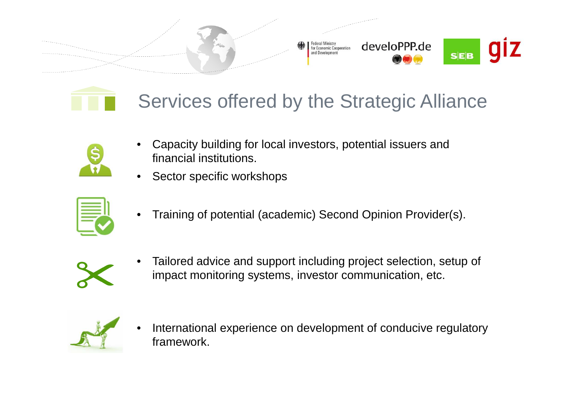





- • Capacity building for local investors, potential issuers and financial institutions.
- •Sector specific workshops



•Training of potential (academic) Second Opinion Provider(s).



• Tailored advice and support including project selection, setup of impact monitoring systems, investor communication, etc.



• International experience on development of conducive regulatory framework.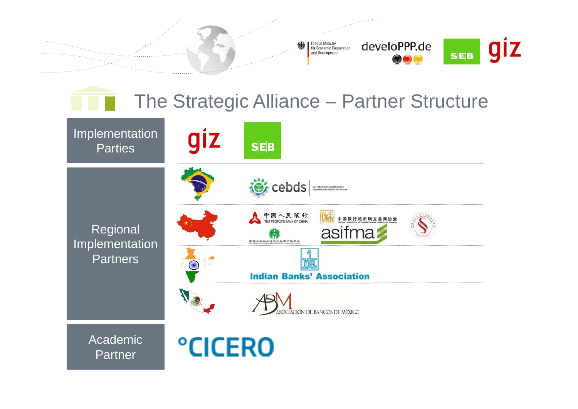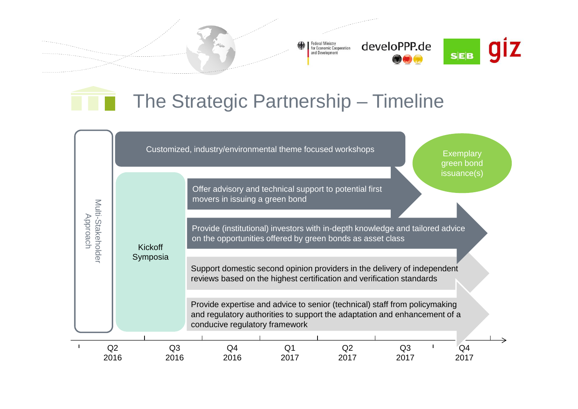Federal Ministry<br>for Economic Cooperation<br>and Development develoPPP.de



## The Strategic Partnership – Timeline

|                               |      |                |                |                                                                                                                                                                                           | Customized, industry/environmental theme focused workshops |                |                |  | <b>Exemplary</b><br>green bond<br>issuance(s) |  |
|-------------------------------|------|----------------|----------------|-------------------------------------------------------------------------------------------------------------------------------------------------------------------------------------------|------------------------------------------------------------|----------------|----------------|--|-----------------------------------------------|--|
| Multi-Stakeholder<br>Approach |      |                |                | movers in issuing a green bond                                                                                                                                                            | Offer advisory and technical support to potential first    |                |                |  |                                               |  |
|                               |      | <b>Kickoff</b> |                | Provide (institutional) investors with in-depth knowledge and tailored advice<br>on the opportunities offered by green bonds as asset class                                               |                                                            |                |                |  |                                               |  |
|                               |      | Symposia       |                | Support domestic second opinion providers in the delivery of independent<br>reviews based on the highest certification and verification standards                                         |                                                            |                |                |  |                                               |  |
|                               |      |                |                | Provide expertise and advice to senior (technical) staff from policymaking<br>and regulatory authorities to support the adaptation and enhancement of a<br>conducive regulatory framework |                                                            |                |                |  |                                               |  |
|                               | Q2   |                | Q <sub>3</sub> | Q4                                                                                                                                                                                        | Q1                                                         | Q <sub>2</sub> | Q <sub>3</sub> |  | Q4                                            |  |
|                               | 2016 |                | 2016           | 2016                                                                                                                                                                                      | 2017                                                       | 2017           | 2017           |  | 2017                                          |  |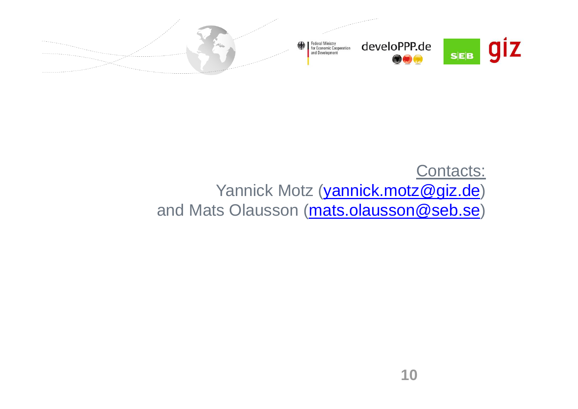

### Contacts: Yannick Motz (vannick.motz@giz.de) and Mats Olausson (mats.olausson@seb.se)